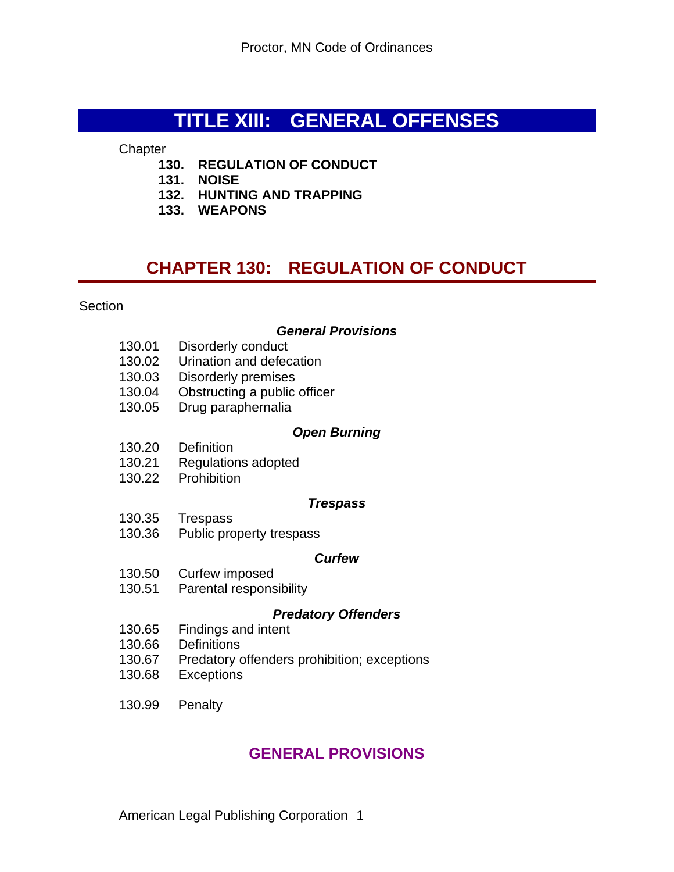# **TITLE XIII: GENERAL OFFENSES**

**Chapter** 

- **130. REGULATION OF CONDUCT**
- **131. NOISE**
- **132. HUNTING AND TRAPPING**
- **133. WEAPONS**

# **CHAPTER 130: REGULATION OF CONDUCT**

**Section** 

#### *General Provisions*

- 130.01 Disorderly conduct
- 130.02 Urination and defecation
- 130.03 Disorderly premises
- 130.04 Obstructing a public officer
- 130.05 Drug paraphernalia

#### *Open Burning*

- 130.20 Definition
- 130.21 Regulations adopted
- 130.22 Prohibition

#### *Trespass*

- 130.35 Trespass
- 130.36 Public property trespass

#### *Curfew*

- 130.50 Curfew imposed
- 130.51 Parental responsibility

#### *Predatory Offenders*

- 130.65 Findings and intent
- 130.66 Definitions
- 130.67 Predatory offenders prohibition; exceptions
- 130.68 Exceptions
- 130.99 Penalty

## **GENERAL PROVISIONS**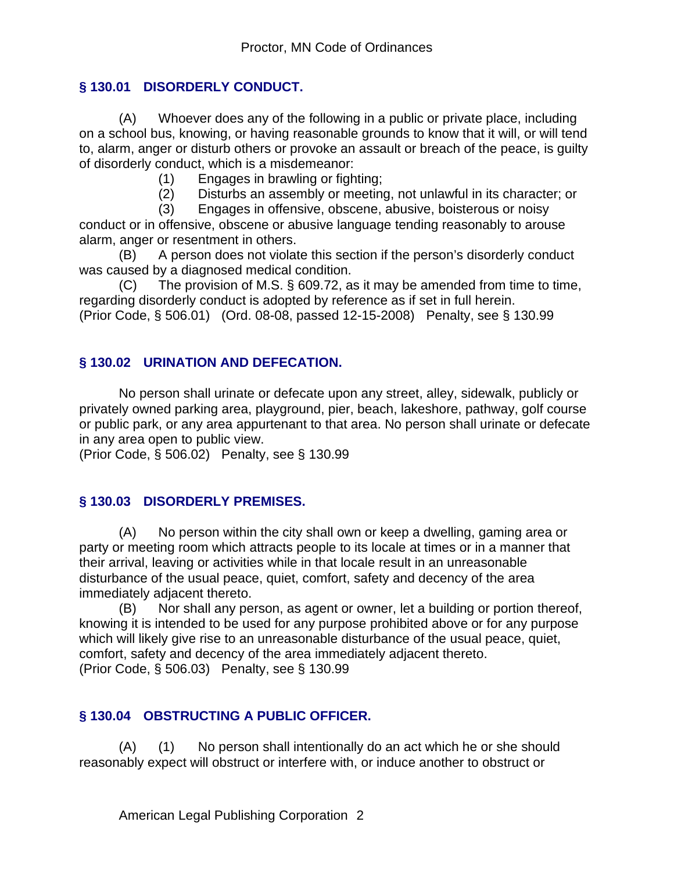### **§ 130.01 DISORDERLY CONDUCT.**

(A) Whoever does any of the following in a public or private place, including on a school bus, knowing, or having reasonable grounds to know that it will, or will tend to, alarm, anger or disturb others or provoke an assault or breach of the peace, is guilty of disorderly conduct, which is a misdemeanor:

(1) Engages in brawling or fighting;

(2) Disturbs an assembly or meeting, not unlawful in its character; or

(3) Engages in offensive, obscene, abusive, boisterous or noisy

conduct or in offensive, obscene or abusive language tending reasonably to arouse alarm, anger or resentment in others.

(B) A person does not violate this section if the person's disorderly conduct was caused by a diagnosed medical condition.

(C) The provision of M.S. § 609.72, as it may be amended from time to time, regarding disorderly conduct is adopted by reference as if set in full herein. (Prior Code, § 506.01) (Ord. 08-08, passed 12-15-2008) Penalty, see § 130.99

#### **§ 130.02 URINATION AND DEFECATION.**

No person shall urinate or defecate upon any street, alley, sidewalk, publicly or privately owned parking area, playground, pier, beach, lakeshore, pathway, golf course or public park, or any area appurtenant to that area. No person shall urinate or defecate in any area open to public view.

(Prior Code, § 506.02) Penalty, see § 130.99

#### **§ 130.03 DISORDERLY PREMISES.**

(A) No person within the city shall own or keep a dwelling, gaming area or party or meeting room which attracts people to its locale at times or in a manner that their arrival, leaving or activities while in that locale result in an unreasonable disturbance of the usual peace, quiet, comfort, safety and decency of the area immediately adjacent thereto.

(B) Nor shall any person, as agent or owner, let a building or portion thereof, knowing it is intended to be used for any purpose prohibited above or for any purpose which will likely give rise to an unreasonable disturbance of the usual peace, quiet, comfort, safety and decency of the area immediately adjacent thereto. (Prior Code, § 506.03) Penalty, see § 130.99

#### **§ 130.04 OBSTRUCTING A PUBLIC OFFICER.**

(A) (1) No person shall intentionally do an act which he or she should reasonably expect will obstruct or interfere with, or induce another to obstruct or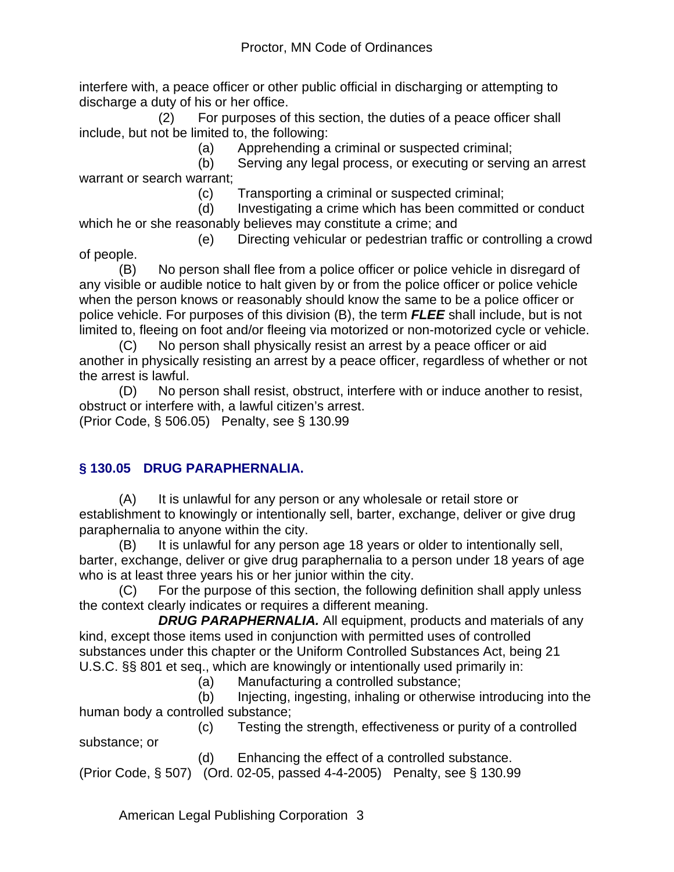interfere with, a peace officer or other public official in discharging or attempting to discharge a duty of his or her office.

 (2) For purposes of this section, the duties of a peace officer shall include, but not be limited to, the following:

(a) Apprehending a criminal or suspected criminal;

 (b) Serving any legal process, or executing or serving an arrest warrant or search warrant;

(c) Transporting a criminal or suspected criminal;

 (d) Investigating a crime which has been committed or conduct which he or she reasonably believes may constitute a crime; and

 (e) Directing vehicular or pedestrian traffic or controlling a crowd of people.

(B) No person shall flee from a police officer or police vehicle in disregard of any visible or audible notice to halt given by or from the police officer or police vehicle when the person knows or reasonably should know the same to be a police officer or police vehicle. For purposes of this division (B), the term *FLEE* shall include, but is not limited to, fleeing on foot and/or fleeing via motorized or non-motorized cycle or vehicle.

(C) No person shall physically resist an arrest by a peace officer or aid another in physically resisting an arrest by a peace officer, regardless of whether or not the arrest is lawful.

(D) No person shall resist, obstruct, interfere with or induce another to resist, obstruct or interfere with, a lawful citizen's arrest.

(Prior Code, § 506.05) Penalty, see § 130.99

## **§ 130.05 DRUG PARAPHERNALIA.**

(A) It is unlawful for any person or any wholesale or retail store or establishment to knowingly or intentionally sell, barter, exchange, deliver or give drug paraphernalia to anyone within the city.

(B) It is unlawful for any person age 18 years or older to intentionally sell, barter, exchange, deliver or give drug paraphernalia to a person under 18 years of age who is at least three years his or her junior within the city.

(C) For the purpose of this section, the following definition shall apply unless the context clearly indicates or requires a different meaning.

 *DRUG PARAPHERNALIA.* All equipment, products and materials of any kind, except those items used in conjunction with permitted uses of controlled substances under this chapter or the Uniform Controlled Substances Act, being 21 U.S.C. §§ 801 et seq., which are knowingly or intentionally used primarily in:

(a) Manufacturing a controlled substance;

 (b) Injecting, ingesting, inhaling or otherwise introducing into the human body a controlled substance;

 (c) Testing the strength, effectiveness or purity of a controlled substance; or

(d) Enhancing the effect of a controlled substance.

(Prior Code, § 507) (Ord. 02-05, passed 4-4-2005) Penalty, see § 130.99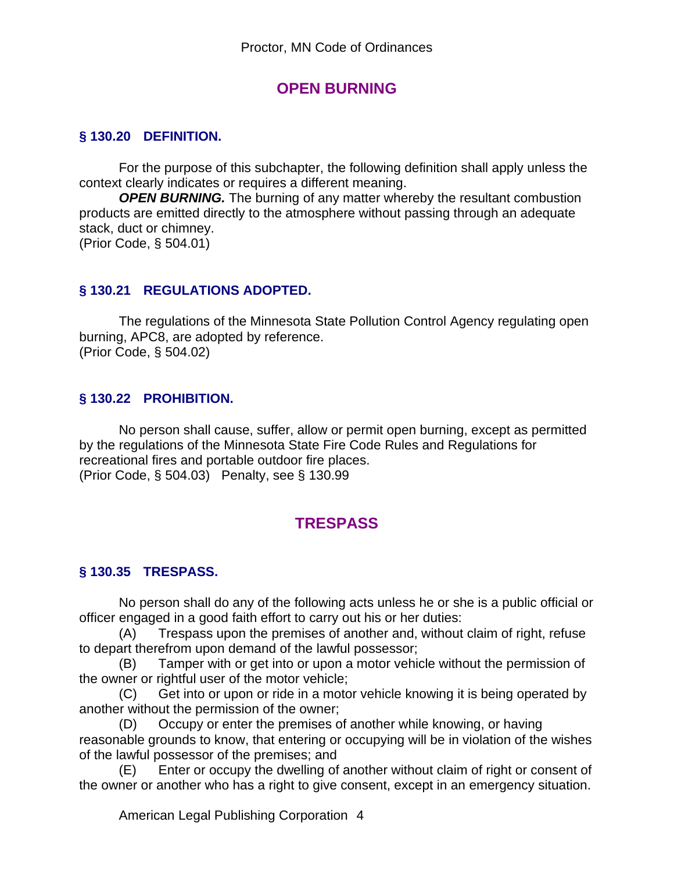## **OPEN BURNING**

#### **§ 130.20 DEFINITION.**

For the purpose of this subchapter, the following definition shall apply unless the context clearly indicates or requires a different meaning.

*OPEN BURNING.* The burning of any matter whereby the resultant combustion products are emitted directly to the atmosphere without passing through an adequate stack, duct or chimney. (Prior Code, § 504.01)

#### **§ 130.21 REGULATIONS ADOPTED.**

The regulations of the Minnesota State Pollution Control Agency regulating open burning, APC8, are adopted by reference. (Prior Code, § 504.02)

#### **§ 130.22 PROHIBITION.**

No person shall cause, suffer, allow or permit open burning, except as permitted by the regulations of the Minnesota State Fire Code Rules and Regulations for recreational fires and portable outdoor fire places. (Prior Code, § 504.03) Penalty, see § 130.99

## **TRESPASS**

#### **§ 130.35 TRESPASS.**

No person shall do any of the following acts unless he or she is a public official or officer engaged in a good faith effort to carry out his or her duties:

(A) Trespass upon the premises of another and, without claim of right, refuse to depart therefrom upon demand of the lawful possessor;

(B) Tamper with or get into or upon a motor vehicle without the permission of the owner or rightful user of the motor vehicle;

(C) Get into or upon or ride in a motor vehicle knowing it is being operated by another without the permission of the owner;

(D) Occupy or enter the premises of another while knowing, or having reasonable grounds to know, that entering or occupying will be in violation of the wishes of the lawful possessor of the premises; and

(E) Enter or occupy the dwelling of another without claim of right or consent of the owner or another who has a right to give consent, except in an emergency situation.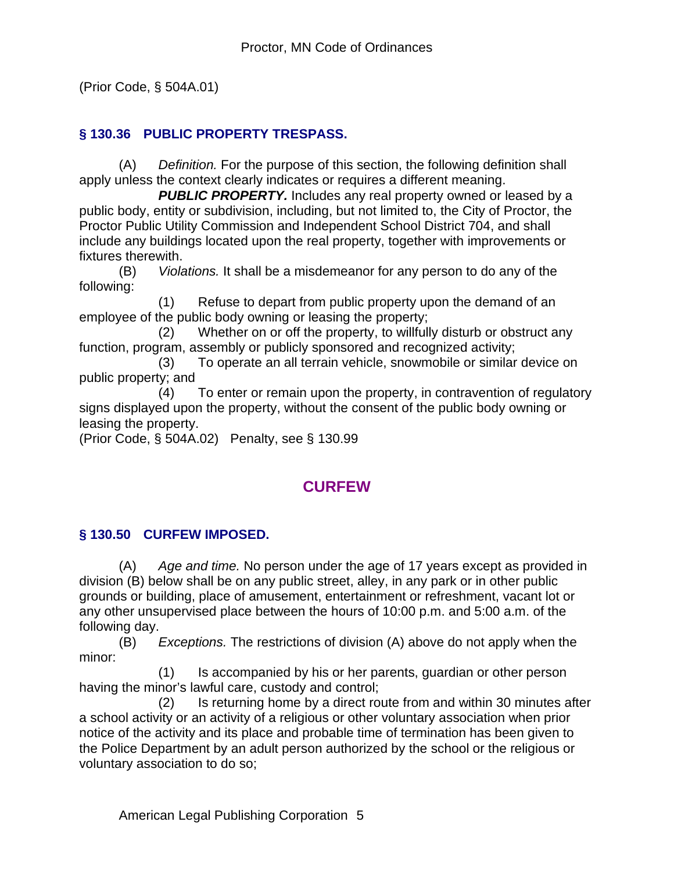(Prior Code, § 504A.01)

## **§ 130.36 PUBLIC PROPERTY TRESPASS.**

(A) *Definition.* For the purpose of this section, the following definition shall apply unless the context clearly indicates or requires a different meaning.

**PUBLIC PROPERTY.** Includes any real property owned or leased by a public body, entity or subdivision, including, but not limited to, the City of Proctor, the Proctor Public Utility Commission and Independent School District 704, and shall include any buildings located upon the real property, together with improvements or fixtures therewith.

(B) *Violations.* It shall be a misdemeanor for any person to do any of the following:

 (1) Refuse to depart from public property upon the demand of an employee of the public body owning or leasing the property;

 (2) Whether on or off the property, to willfully disturb or obstruct any function, program, assembly or publicly sponsored and recognized activity;

 (3) To operate an all terrain vehicle, snowmobile or similar device on public property; and

 (4) To enter or remain upon the property, in contravention of regulatory signs displayed upon the property, without the consent of the public body owning or leasing the property.

(Prior Code, § 504A.02) Penalty, see § 130.99

## **CURFEW**

## **§ 130.50 CURFEW IMPOSED.**

(A) *Age and time.* No person under the age of 17 years except as provided in division (B) below shall be on any public street, alley, in any park or in other public grounds or building, place of amusement, entertainment or refreshment, vacant lot or any other unsupervised place between the hours of 10:00 p.m. and 5:00 a.m. of the following day.

(B) *Exceptions.* The restrictions of division (A) above do not apply when the minor:

 (1) Is accompanied by his or her parents, guardian or other person having the minor's lawful care, custody and control;

 (2) Is returning home by a direct route from and within 30 minutes after a school activity or an activity of a religious or other voluntary association when prior notice of the activity and its place and probable time of termination has been given to the Police Department by an adult person authorized by the school or the religious or voluntary association to do so;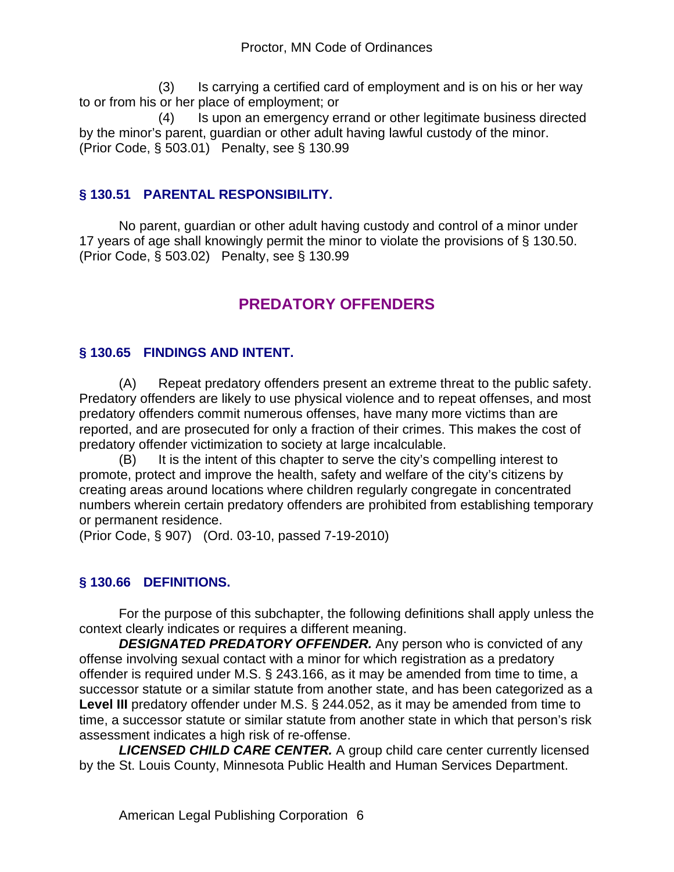(3) Is carrying a certified card of employment and is on his or her way to or from his or her place of employment; or

 (4) Is upon an emergency errand or other legitimate business directed by the minor's parent, guardian or other adult having lawful custody of the minor. (Prior Code, § 503.01) Penalty, see § 130.99

## **§ 130.51 PARENTAL RESPONSIBILITY.**

No parent, guardian or other adult having custody and control of a minor under 17 years of age shall knowingly permit the minor to violate the provisions of § 130.50. (Prior Code, § 503.02) Penalty, see § 130.99

# **PREDATORY OFFENDERS**

## **§ 130.65 FINDINGS AND INTENT.**

(A) Repeat predatory offenders present an extreme threat to the public safety. Predatory offenders are likely to use physical violence and to repeat offenses, and most predatory offenders commit numerous offenses, have many more victims than are reported, and are prosecuted for only a fraction of their crimes. This makes the cost of predatory offender victimization to society at large incalculable.

(B) It is the intent of this chapter to serve the city's compelling interest to promote, protect and improve the health, safety and welfare of the city's citizens by creating areas around locations where children regularly congregate in concentrated numbers wherein certain predatory offenders are prohibited from establishing temporary or permanent residence.

(Prior Code, § 907) (Ord. 03-10, passed 7-19-2010)

## **§ 130.66 DEFINITIONS.**

For the purpose of this subchapter, the following definitions shall apply unless the context clearly indicates or requires a different meaning.

*DESIGNATED PREDATORY OFFENDER.* Any person who is convicted of any offense involving sexual contact with a minor for which registration as a predatory offender is required under M.S. § 243.166, as it may be amended from time to time, a successor statute or a similar statute from another state, and has been categorized as a Level III predatory offender under M.S. § 244.052, as it may be amended from time to time, a successor statute or similar statute from another state in which that person's risk assessment indicates a high risk of re-offense.

*LICENSED CHILD CARE CENTER.* A group child care center currently licensed by the St. Louis County, Minnesota Public Health and Human Services Department.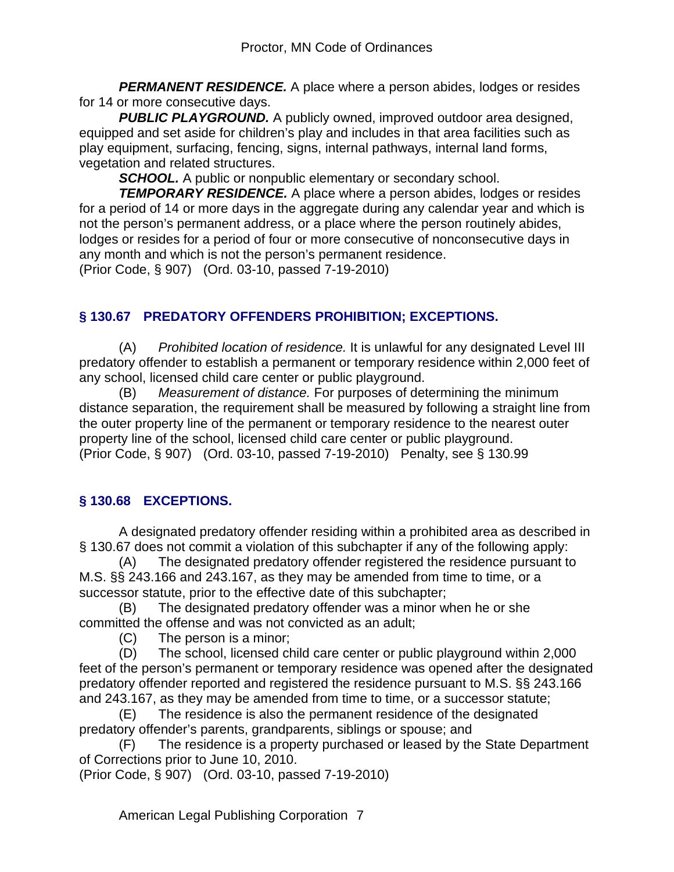**PERMANENT RESIDENCE.** A place where a person abides, lodges or resides for 14 or more consecutive days.

**PUBLIC PLAYGROUND.** A publicly owned, improved outdoor area designed, equipped and set aside for children's play and includes in that area facilities such as play equipment, surfacing, fencing, signs, internal pathways, internal land forms, vegetation and related structures.

**SCHOOL.** A public or nonpublic elementary or secondary school.

*TEMPORARY RESIDENCE.* A place where a person abides, lodges or resides for a period of 14 or more days in the aggregate during any calendar year and which is not the person's permanent address, or a place where the person routinely abides, lodges or resides for a period of four or more consecutive of nonconsecutive days in any month and which is not the person's permanent residence.

(Prior Code, § 907) (Ord. 03-10, passed 7-19-2010)

## **§ 130.67 PREDATORY OFFENDERS PROHIBITION; EXCEPTIONS.**

(A) *Prohibited location of residence.* It is unlawful for any designated Level III predatory offender to establish a permanent or temporary residence within 2,000 feet of any school, licensed child care center or public playground.

(B) *Measurement of distance.* For purposes of determining the minimum distance separation, the requirement shall be measured by following a straight line from the outer property line of the permanent or temporary residence to the nearest outer property line of the school, licensed child care center or public playground. (Prior Code, § 907) (Ord. 03-10, passed 7-19-2010) Penalty, see § 130.99

## **§ 130.68 EXCEPTIONS.**

A designated predatory offender residing within a prohibited area as described in § 130.67 does not commit a violation of this subchapter if any of the following apply:

(A) The designated predatory offender registered the residence pursuant to M.S. §§ 243.166 and 243.167, as they may be amended from time to time, or a successor statute, prior to the effective date of this subchapter;

(B) The designated predatory offender was a minor when he or she committed the offense and was not convicted as an adult;

(C) The person is a minor;

(D) The school, licensed child care center or public playground within 2,000 feet of the person's permanent or temporary residence was opened after the designated predatory offender reported and registered the residence pursuant to M.S. §§ 243.166 and 243.167, as they may be amended from time to time, or a successor statute;

(E) The residence is also the permanent residence of the designated predatory offender's parents, grandparents, siblings or spouse; and

(F) The residence is a property purchased or leased by the State Department of Corrections prior to June 10, 2010.

(Prior Code, § 907) (Ord. 03-10, passed 7-19-2010)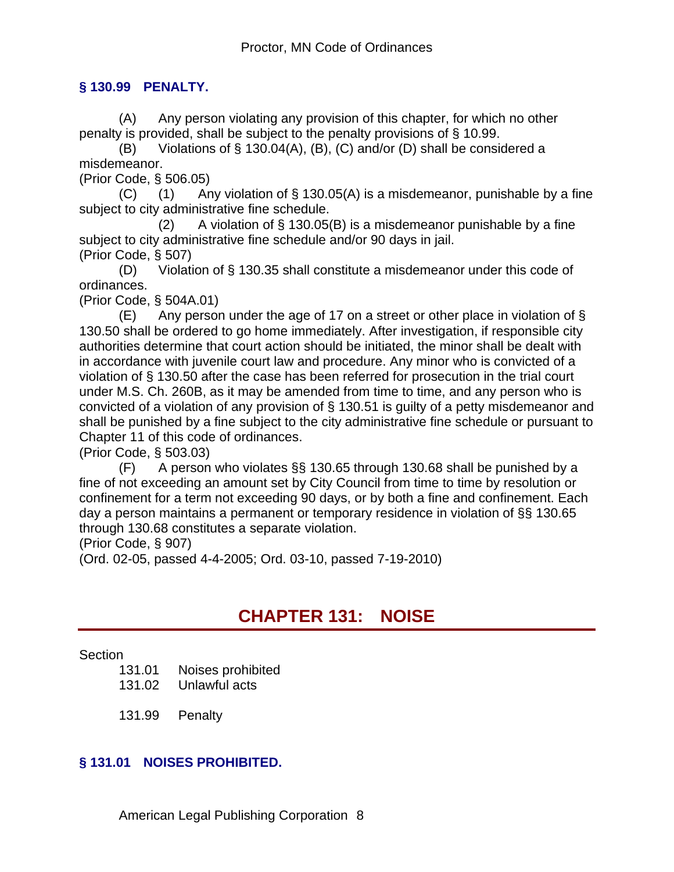#### **§ 130.99 PENALTY.**

(A) Any person violating any provision of this chapter, for which no other penalty is provided, shall be subject to the penalty provisions of § 10.99.

(B) Violations of § 130.04(A), (B), (C) and/or (D) shall be considered a misdemeanor.

(Prior Code, § 506.05)

(C) (1) Any violation of  $\S$  130.05(A) is a misdemeanor, punishable by a fine subject to city administrative fine schedule.

(2) A violation of  $\S$  130.05(B) is a misdemeanor punishable by a fine subject to city administrative fine schedule and/or 90 days in jail. (Prior Code, § 507)

(D) Violation of § 130.35 shall constitute a misdemeanor under this code of ordinances.

(Prior Code, § 504A.01)

 $(E)$  Any person under the age of 17 on a street or other place in violation of § 130.50 shall be ordered to go home immediately. After investigation, if responsible city authorities determine that court action should be initiated, the minor shall be dealt with in accordance with juvenile court law and procedure. Any minor who is convicted of a violation of § 130.50 after the case has been referred for prosecution in the trial court under M.S. Ch. 260B, as it may be amended from time to time, and any person who is convicted of a violation of any provision of § 130.51 is guilty of a petty misdemeanor and shall be punished by a fine subject to the city administrative fine schedule or pursuant to Chapter 11 of this code of ordinances.

(Prior Code, § 503.03)

(F) A person who violates §§ 130.65 through 130.68 shall be punished by a fine of not exceeding an amount set by City Council from time to time by resolution or confinement for a term not exceeding 90 days, or by both a fine and confinement. Each day a person maintains a permanent or temporary residence in violation of §§ 130.65 through 130.68 constitutes a separate violation.

(Prior Code, § 907)

(Ord. 02-05, passed 4-4-2005; Ord. 03-10, passed 7-19-2010)

# **CHAPTER 131: NOISE**

**Section** 

131.01 Noises prohibited

131.02 Unlawful acts

131.99 Penalty

#### **§ 131.01 NOISES PROHIBITED.**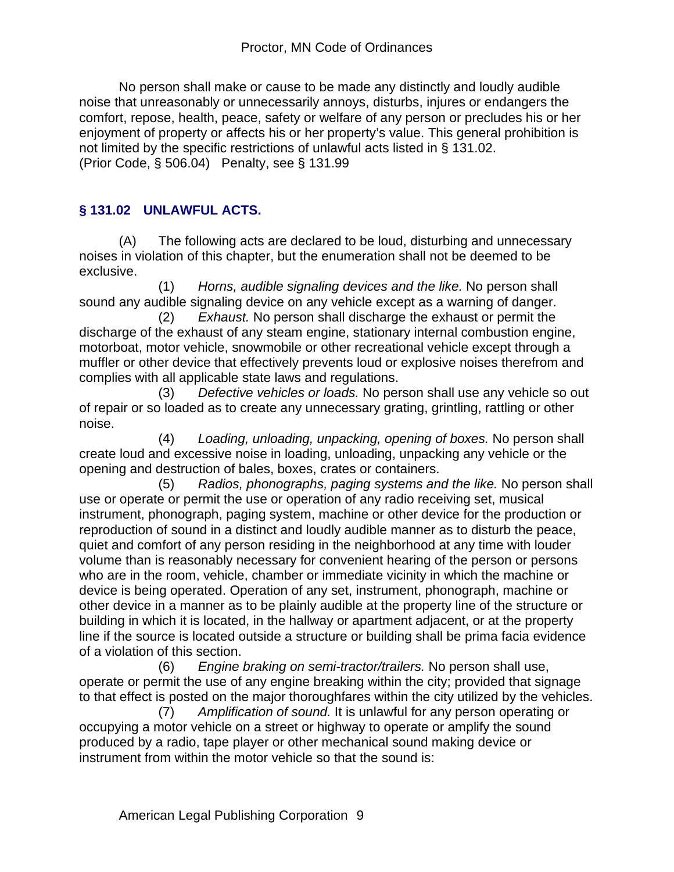No person shall make or cause to be made any distinctly and loudly audible noise that unreasonably or unnecessarily annoys, disturbs, injures or endangers the comfort, repose, health, peace, safety or welfare of any person or precludes his or her enjoyment of property or affects his or her property's value. This general prohibition is not limited by the specific restrictions of unlawful acts listed in § 131.02. (Prior Code, § 506.04) Penalty, see § 131.99

## **§ 131.02 UNLAWFUL ACTS.**

(A) The following acts are declared to be loud, disturbing and unnecessary noises in violation of this chapter, but the enumeration shall not be deemed to be exclusive.

 (1) *Horns, audible signaling devices and the like.* No person shall sound any audible signaling device on any vehicle except as a warning of danger.

 (2) *Exhaust.* No person shall discharge the exhaust or permit the discharge of the exhaust of any steam engine, stationary internal combustion engine, motorboat, motor vehicle, snowmobile or other recreational vehicle except through a muffler or other device that effectively prevents loud or explosive noises therefrom and complies with all applicable state laws and regulations.

 (3) *Defective vehicles or loads.* No person shall use any vehicle so out of repair or so loaded as to create any unnecessary grating, grintling, rattling or other noise.

 (4) *Loading, unloading, unpacking, opening of boxes.* No person shall create loud and excessive noise in loading, unloading, unpacking any vehicle or the opening and destruction of bales, boxes, crates or containers.

 (5) *Radios, phonographs, paging systems and the like.* No person shall use or operate or permit the use or operation of any radio receiving set, musical instrument, phonograph, paging system, machine or other device for the production or reproduction of sound in a distinct and loudly audible manner as to disturb the peace, quiet and comfort of any person residing in the neighborhood at any time with louder volume than is reasonably necessary for convenient hearing of the person or persons who are in the room, vehicle, chamber or immediate vicinity in which the machine or device is being operated. Operation of any set, instrument, phonograph, machine or other device in a manner as to be plainly audible at the property line of the structure or building in which it is located, in the hallway or apartment adjacent, or at the property line if the source is located outside a structure or building shall be prima facia evidence of a violation of this section.

 (6) *Engine braking on semi-tractor/trailers.* No person shall use, operate or permit the use of any engine breaking within the city; provided that signage to that effect is posted on the major thoroughfares within the city utilized by the vehicles.

 (7) *Amplification of sound.* It is unlawful for any person operating or occupying a motor vehicle on a street or highway to operate or amplify the sound produced by a radio, tape player or other mechanical sound making device or instrument from within the motor vehicle so that the sound is: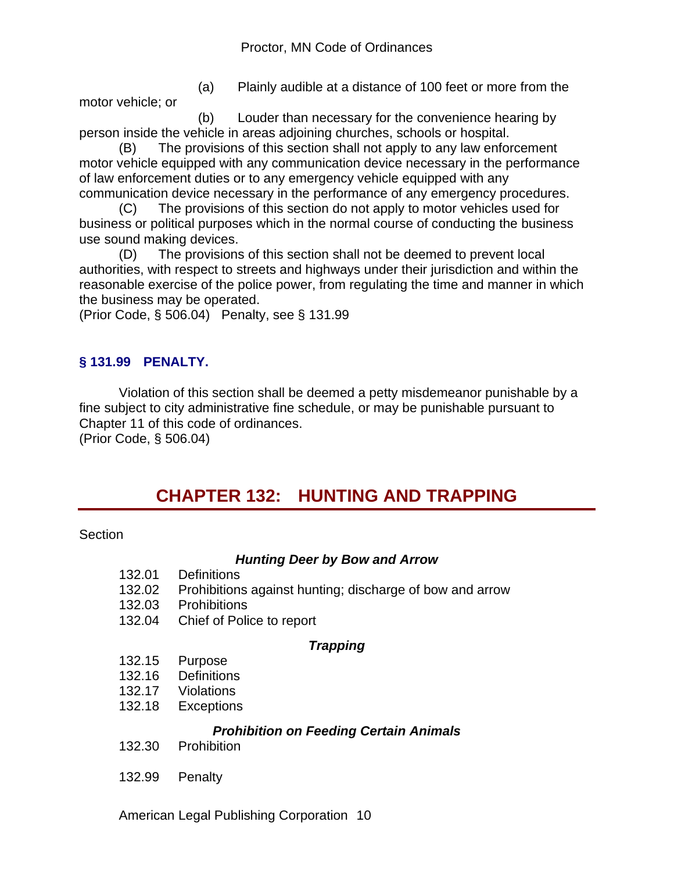motor vehicle; or

(a) Plainly audible at a distance of 100 feet or more from the

 (b) Louder than necessary for the convenience hearing by person inside the vehicle in areas adjoining churches, schools or hospital.

(B) The provisions of this section shall not apply to any law enforcement motor vehicle equipped with any communication device necessary in the performance of law enforcement duties or to any emergency vehicle equipped with any communication device necessary in the performance of any emergency procedures.

(C) The provisions of this section do not apply to motor vehicles used for business or political purposes which in the normal course of conducting the business use sound making devices.

(D) The provisions of this section shall not be deemed to prevent local authorities, with respect to streets and highways under their jurisdiction and within the reasonable exercise of the police power, from regulating the time and manner in which the business may be operated.

(Prior Code, § 506.04) Penalty, see § 131.99

## **§ 131.99 PENALTY.**

Violation of this section shall be deemed a petty misdemeanor punishable by a fine subject to city administrative fine schedule, or may be punishable pursuant to Chapter 11 of this code of ordinances.

(Prior Code, § 506.04)

# **CHAPTER 132: HUNTING AND TRAPPING**

#### Section

#### *Hunting Deer by Bow and Arrow*

132.01 Definitions 132.02 Prohibitions against hunting; discharge of bow and arrow 132.03 Prohibitions 132.04 Chief of Police to report *Trapping* 132.15 Purpose 132.16 Definitions 132.17 Violations 132.18 Exceptions *Prohibition on Feeding Certain Animals* 132.30 Prohibition 132.99 Penalty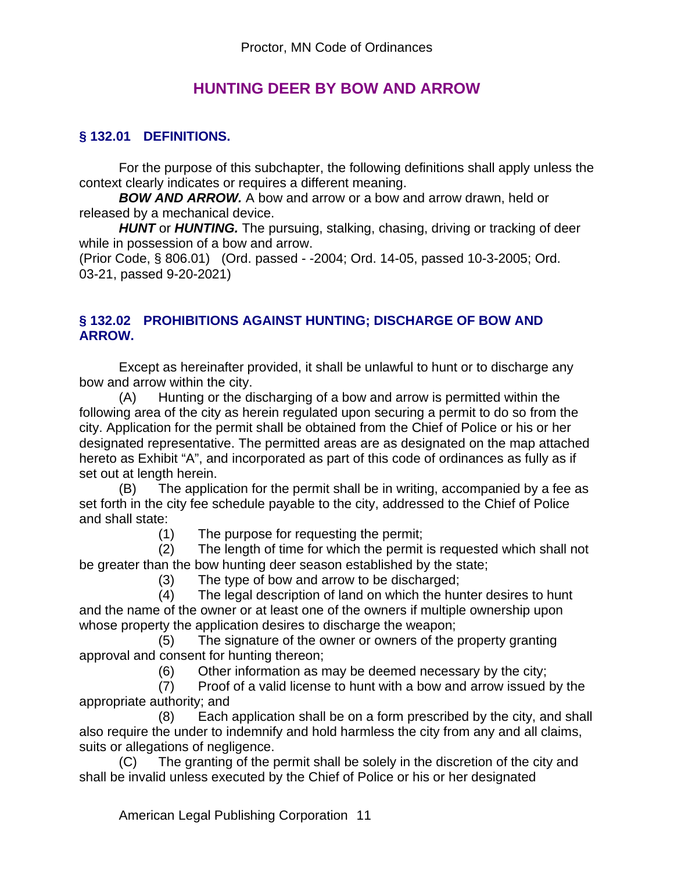## **HUNTING DEER BY BOW AND ARROW**

## **§ 132.01 DEFINITIONS.**

For the purpose of this subchapter, the following definitions shall apply unless the context clearly indicates or requires a different meaning.

*BOW AND ARROW.* A bow and arrow or a bow and arrow drawn, held or released by a mechanical device.

*HUNT* or *HUNTING.* The pursuing, stalking, chasing, driving or tracking of deer while in possession of a bow and arrow.

(Prior Code, § 806.01) (Ord. passed - -2004; Ord. 14-05, passed 10-3-2005; Ord. 03-21, passed 9-20-2021)

#### **§ 132.02 PROHIBITIONS AGAINST HUNTING; DISCHARGE OF BOW AND ARROW.**

Except as hereinafter provided, it shall be unlawful to hunt or to discharge any bow and arrow within the city.

(A) Hunting or the discharging of a bow and arrow is permitted within the following area of the city as herein regulated upon securing a permit to do so from the city. Application for the permit shall be obtained from the Chief of Police or his or her designated representative. The permitted areas are as designated on the map attached hereto as Exhibit "A", and incorporated as part of this code of ordinances as fully as if set out at length herein.

(B) The application for the permit shall be in writing, accompanied by a fee as set forth in the city fee schedule payable to the city, addressed to the Chief of Police and shall state:

(1) The purpose for requesting the permit;

 (2) The length of time for which the permit is requested which shall not be greater than the bow hunting deer season established by the state;

(3) The type of bow and arrow to be discharged;

 (4) The legal description of land on which the hunter desires to hunt and the name of the owner or at least one of the owners if multiple ownership upon whose property the application desires to discharge the weapon;

 (5) The signature of the owner or owners of the property granting approval and consent for hunting thereon;

(6) Other information as may be deemed necessary by the city;

 (7) Proof of a valid license to hunt with a bow and arrow issued by the appropriate authority; and

 (8) Each application shall be on a form prescribed by the city, and shall also require the under to indemnify and hold harmless the city from any and all claims, suits or allegations of negligence.

(C) The granting of the permit shall be solely in the discretion of the city and shall be invalid unless executed by the Chief of Police or his or her designated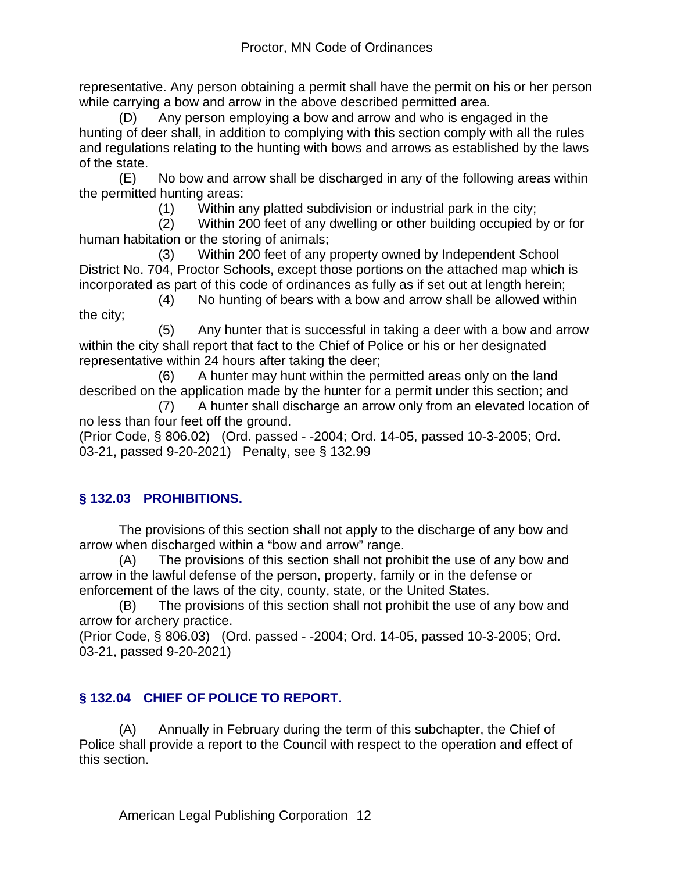representative. Any person obtaining a permit shall have the permit on his or her person while carrying a bow and arrow in the above described permitted area.

(D) Any person employing a bow and arrow and who is engaged in the hunting of deer shall, in addition to complying with this section comply with all the rules and regulations relating to the hunting with bows and arrows as established by the laws of the state.

(E) No bow and arrow shall be discharged in any of the following areas within the permitted hunting areas:

(1) Within any platted subdivision or industrial park in the city;

 (2) Within 200 feet of any dwelling or other building occupied by or for human habitation or the storing of animals;

 (3) Within 200 feet of any property owned by Independent School District No. 704, Proctor Schools, except those portions on the attached map which is incorporated as part of this code of ordinances as fully as if set out at length herein;

 (4) No hunting of bears with a bow and arrow shall be allowed within the city;

 (5) Any hunter that is successful in taking a deer with a bow and arrow within the city shall report that fact to the Chief of Police or his or her designated representative within 24 hours after taking the deer;

 (6) A hunter may hunt within the permitted areas only on the land described on the application made by the hunter for a permit under this section; and

 (7) A hunter shall discharge an arrow only from an elevated location of no less than four feet off the ground.

(Prior Code, § 806.02) (Ord. passed - -2004; Ord. 14-05, passed 10-3-2005; Ord. 03-21, passed 9-20-2021) Penalty, see § 132.99

## **§ 132.03 PROHIBITIONS.**

The provisions of this section shall not apply to the discharge of any bow and arrow when discharged within a "bow and arrow" range.

(A) The provisions of this section shall not prohibit the use of any bow and arrow in the lawful defense of the person, property, family or in the defense or enforcement of the laws of the city, county, state, or the United States.

(B) The provisions of this section shall not prohibit the use of any bow and arrow for archery practice.

(Prior Code, § 806.03) (Ord. passed - -2004; Ord. 14-05, passed 10-3-2005; Ord. 03-21, passed 9-20-2021)

## **§ 132.04 CHIEF OF POLICE TO REPORT.**

(A) Annually in February during the term of this subchapter, the Chief of Police shall provide a report to the Council with respect to the operation and effect of this section.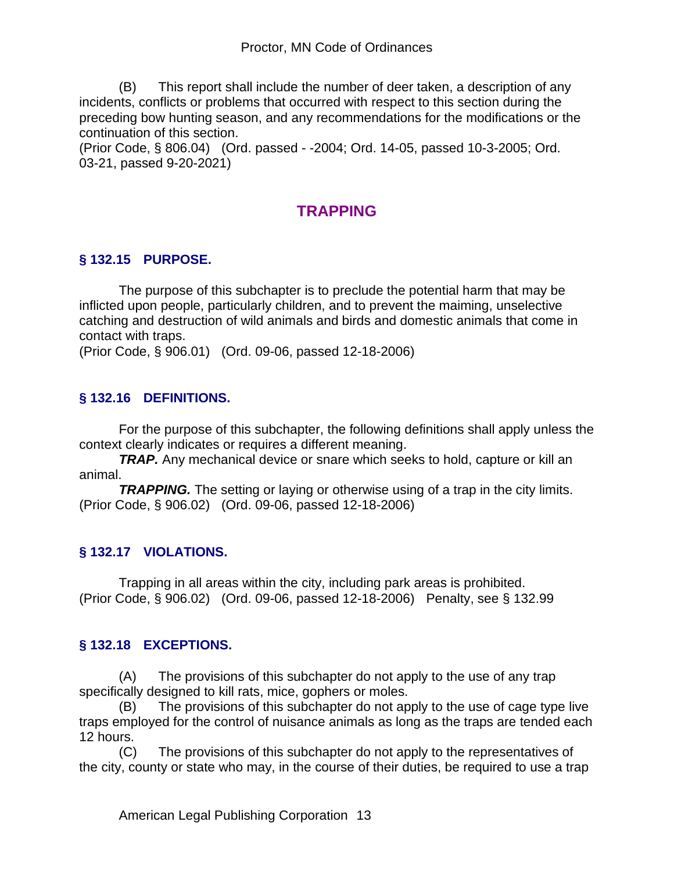(B) This report shall include the number of deer taken, a description of any incidents, conflicts or problems that occurred with respect to this section during the preceding bow hunting season, and any recommendations for the modifications or the continuation of this section.

(Prior Code, § 806.04) (Ord. passed - -2004; Ord. 14-05, passed 10-3-2005; Ord. 03-21, passed 9-20-2021)

# **TRAPPING**

## **§ 132.15 PURPOSE.**

The purpose of this subchapter is to preclude the potential harm that may be inflicted upon people, particularly children, and to prevent the maiming, unselective catching and destruction of wild animals and birds and domestic animals that come in contact with traps.

(Prior Code, § 906.01) (Ord. 09-06, passed 12-18-2006)

## **§ 132.16 DEFINITIONS.**

For the purpose of this subchapter, the following definitions shall apply unless the context clearly indicates or requires a different meaning.

*TRAP.* Any mechanical device or snare which seeks to hold, capture or kill an animal.

**TRAPPING.** The setting or laying or otherwise using of a trap in the city limits. (Prior Code, § 906.02) (Ord. 09-06, passed 12-18-2006)

## **§ 132.17 VIOLATIONS.**

Trapping in all areas within the city, including park areas is prohibited. (Prior Code, § 906.02) (Ord. 09-06, passed 12-18-2006) Penalty, see § 132.99

## **§ 132.18 EXCEPTIONS.**

(A) The provisions of this subchapter do not apply to the use of any trap specifically designed to kill rats, mice, gophers or moles.

(B) The provisions of this subchapter do not apply to the use of cage type live traps employed for the control of nuisance animals as long as the traps are tended each 12 hours.

(C) The provisions of this subchapter do not apply to the representatives of the city, county or state who may, in the course of their duties, be required to use a trap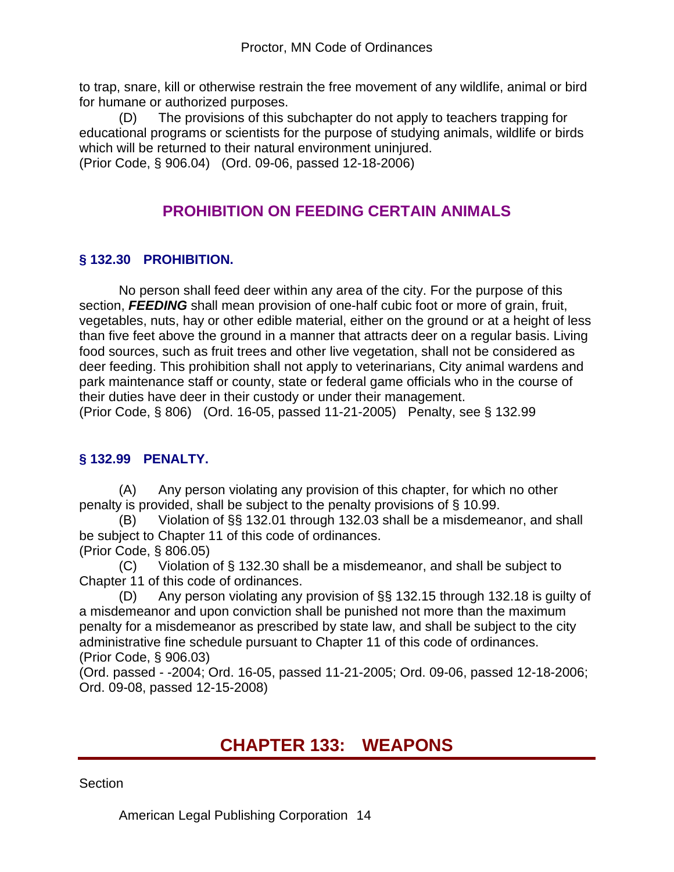to trap, snare, kill or otherwise restrain the free movement of any wildlife, animal or bird for humane or authorized purposes.

(D) The provisions of this subchapter do not apply to teachers trapping for educational programs or scientists for the purpose of studying animals, wildlife or birds which will be returned to their natural environment uninjured. (Prior Code, § 906.04) (Ord. 09-06, passed 12-18-2006)

# **PROHIBITION ON FEEDING CERTAIN ANIMALS**

## **§ 132.30 PROHIBITION.**

No person shall feed deer within any area of the city. For the purpose of this section, *FEEDING* shall mean provision of one-half cubic foot or more of grain, fruit, vegetables, nuts, hay or other edible material, either on the ground or at a height of less than five feet above the ground in a manner that attracts deer on a regular basis. Living food sources, such as fruit trees and other live vegetation, shall not be considered as deer feeding. This prohibition shall not apply to veterinarians, City animal wardens and park maintenance staff or county, state or federal game officials who in the course of their duties have deer in their custody or under their management. (Prior Code, § 806) (Ord. 16-05, passed 11-21-2005) Penalty, see § 132.99

## **§ 132.99 PENALTY.**

(A) Any person violating any provision of this chapter, for which no other penalty is provided, shall be subject to the penalty provisions of § 10.99.

(B) Violation of §§ 132.01 through 132.03 shall be a misdemeanor, and shall be subject to Chapter 11 of this code of ordinances. (Prior Code, § 806.05)

(C) Violation of § 132.30 shall be a misdemeanor, and shall be subject to Chapter 11 of this code of ordinances.

(D) Any person violating any provision of §§ 132.15 through 132.18 is guilty of a misdemeanor and upon conviction shall be punished not more than the maximum penalty for a misdemeanor as prescribed by state law, and shall be subject to the city administrative fine schedule pursuant to Chapter 11 of this code of ordinances. (Prior Code, § 906.03)

(Ord. passed - -2004; Ord. 16-05, passed 11-21-2005; Ord. 09-06, passed 12-18-2006; Ord. 09-08, passed 12-15-2008)

# **CHAPTER 133: WEAPONS**

Section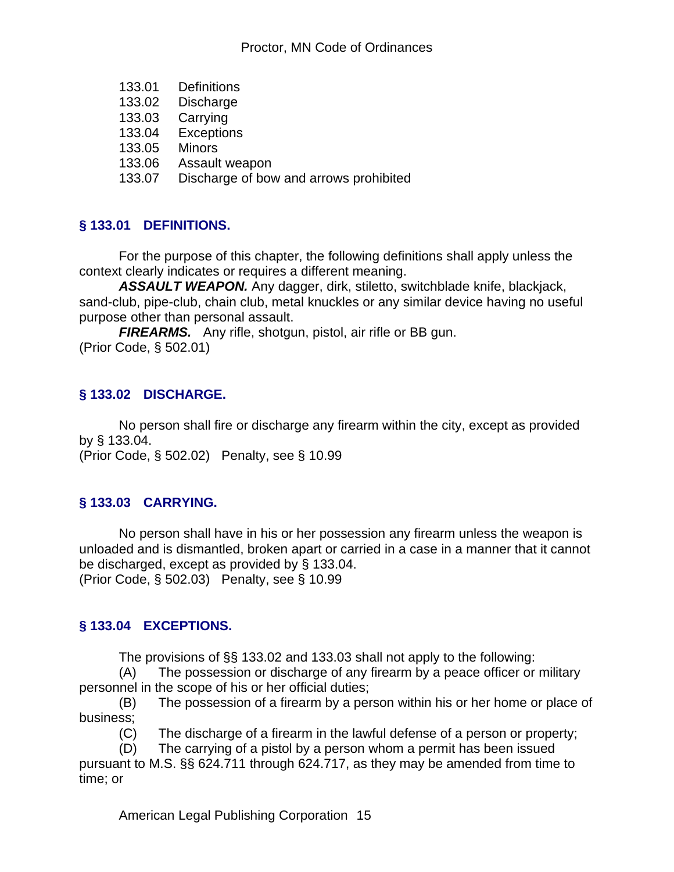- 133.01 Definitions<br>133.02 Discharge
- Discharge
- 133.03 Carrying
- 133.04 Exceptions
- 133.05 Minors
- 133.06 Assault weapon
- 133.07 Discharge of bow and arrows prohibited

### **§ 133.01 DEFINITIONS.**

For the purpose of this chapter, the following definitions shall apply unless the context clearly indicates or requires a different meaning.

*ASSAULT WEAPON.* Any dagger, dirk, stiletto, switchblade knife, blackjack, sand-club, pipe-club, chain club, metal knuckles or any similar device having no useful purpose other than personal assault.

*FIREARMS.* Any rifle, shotgun, pistol, air rifle or BB gun. (Prior Code, § 502.01)

### **§ 133.02 DISCHARGE.**

No person shall fire or discharge any firearm within the city, except as provided by § 133.04.

(Prior Code, § 502.02) Penalty, see § 10.99

## **§ 133.03 CARRYING.**

No person shall have in his or her possession any firearm unless the weapon is unloaded and is dismantled, broken apart or carried in a case in a manner that it cannot be discharged, except as provided by § 133.04. (Prior Code, § 502.03) Penalty, see § 10.99

#### **§ 133.04 EXCEPTIONS.**

The provisions of §§ 133.02 and 133.03 shall not apply to the following:

(A) The possession or discharge of any firearm by a peace officer or military personnel in the scope of his or her official duties;

(B) The possession of a firearm by a person within his or her home or place of business;

(C) The discharge of a firearm in the lawful defense of a person or property;

(D) The carrying of a pistol by a person whom a permit has been issued pursuant to M.S. §§ 624.711 through 624.717, as they may be amended from time to

time; or